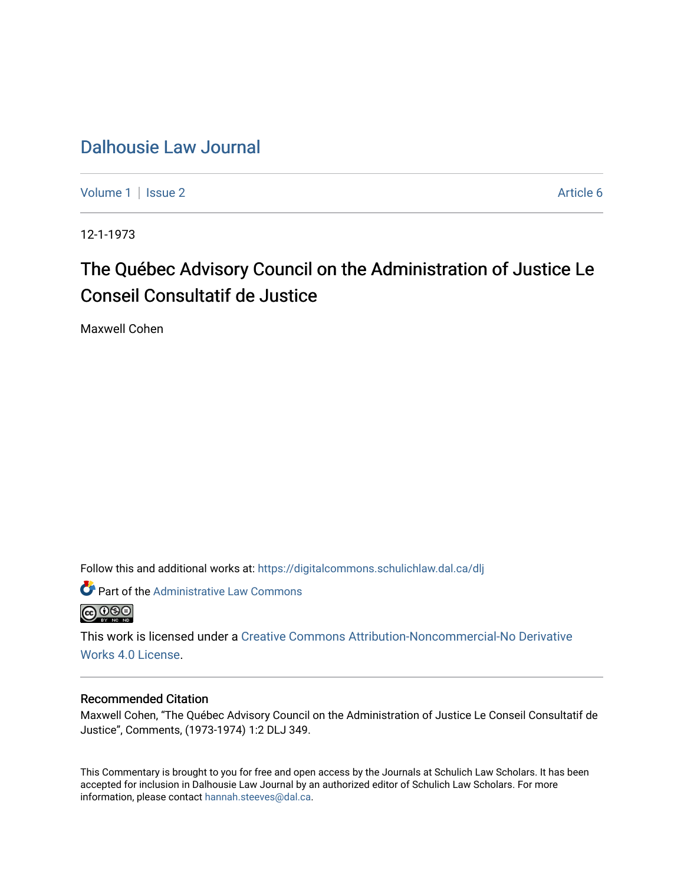## [Dalhousie Law Journal](https://digitalcommons.schulichlaw.dal.ca/dlj)

[Volume 1](https://digitalcommons.schulichlaw.dal.ca/dlj/vol1) | [Issue 2](https://digitalcommons.schulichlaw.dal.ca/dlj/vol1/iss2) Article 6

12-1-1973

## The Québec Advisory Council on the Administration of Justice Le Conseil Consultatif de Justice

Maxwell Cohen

Follow this and additional works at: [https://digitalcommons.schulichlaw.dal.ca/dlj](https://digitalcommons.schulichlaw.dal.ca/dlj?utm_source=digitalcommons.schulichlaw.dal.ca%2Fdlj%2Fvol1%2Fiss2%2F6&utm_medium=PDF&utm_campaign=PDFCoverPages) 

Part of the Administrative Law Commons **@000** 

This work is licensed under a [Creative Commons Attribution-Noncommercial-No Derivative](https://creativecommons.org/licenses/by-nc-nd/4.0/)  [Works 4.0 License](https://creativecommons.org/licenses/by-nc-nd/4.0/).

## Recommended Citation

Maxwell Cohen, "The Québec Advisory Council on the Administration of Justice Le Conseil Consultatif de Justice", Comments, (1973-1974) 1:2 DLJ 349.

This Commentary is brought to you for free and open access by the Journals at Schulich Law Scholars. It has been accepted for inclusion in Dalhousie Law Journal by an authorized editor of Schulich Law Scholars. For more information, please contact [hannah.steeves@dal.ca](mailto:hannah.steeves@dal.ca).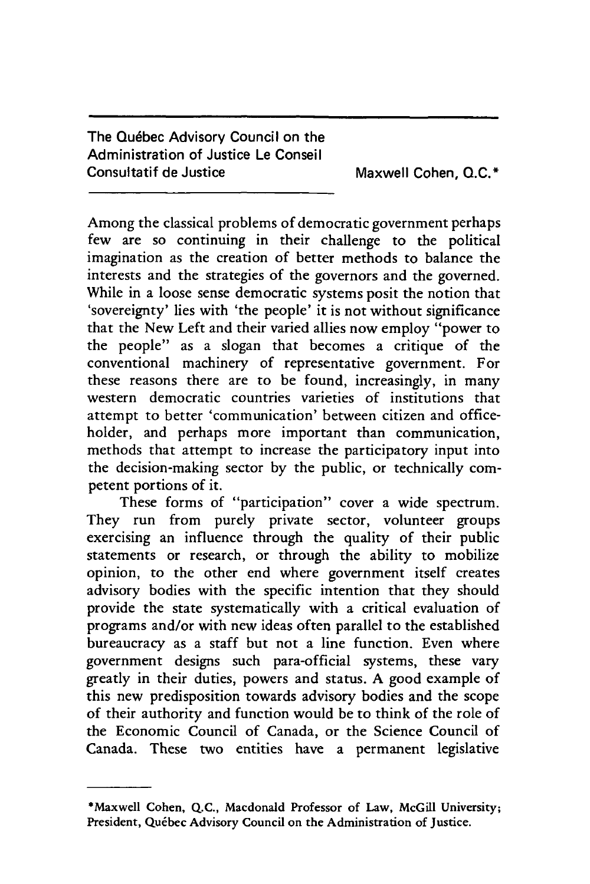The Québec Advisory Council on the Administration of Justice Le Conseil Consultatif de Justice Maxwell Cohen, Q.C.\*

Among the classical problems of democratic government perhaps few are so continuing in their challenge to the political imagination as the creation of better methods to balance the interests and the strategies of the governors and the governed. While in a loose sense democratic systems posit the notion that 'sovereignty' lies with 'the people' it is not without significance that the New Left and their varied allies now employ "power to the people" as a slogan that becomes a critique of the conventional machinery of representative government. For these reasons there are to be found, increasingly, in many western democratic countries varieties of institutions that attempt to better 'communication' between citizen and officeholder, and perhaps more important than communication, methods that attempt to increase the participatory input into the decision-making sector by the public, or technically competent portions of it.

These forms of "participation" cover a wide spectrum. They run from purely private sector, volunteer groups exercising an influence through the quality of their public statements or research, or through the ability to mobilize opinion, to the other end where government itself creates advisory bodies with the specific intention that they should provide the state systematically with a critical evaluation of programs and/or with new ideas often parallel to the established bureaucracy as a staff but not a line function. Even where government designs such para-official systems, these vary greatly in their duties, powers and status. A good example of this new predisposition towards advisory bodies and the scope of their authority and function would be to think of the role of the Economic Council of Canada, or the Science Council of Canada. These two entities have a permanent legislative

<sup>\*</sup>Maxwell Cohen, **Q.C.,** Macdonald Professor of Law, McGill University; President, Québec Advisory Council on the Administration of Justice.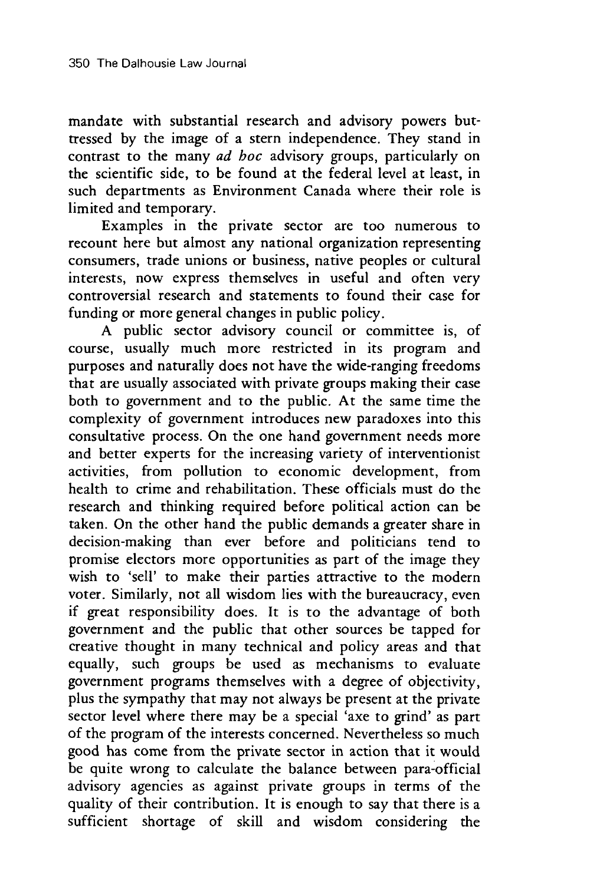mandate with substantial research and advisory powers buttressed by the image of a stern independence. They stand in contrast to the many *ad boc* advisory groups, particularly on the scientific side, to be found at the federal level at least, in such departments as Environment Canada where their role is limited and temporary.

Examples in the private sector are too numerous to recount here but almost any national organization representing consumers, trade unions or business, native peoples or cultural interests, now express themselves in useful and often very controversial research and statements to found their case for funding or more general changes in public policy.

A public sector advisory council or committee is, of course, usually much more restricted in its program and purposes and naturally does not have the wide-ranging freedoms that are usually associated with private groups making their case both to government and to the public. At the same time the complexity of government introduces new paradoxes into this consultative process. On the one hand government needs more and better experts for the increasing variety of interventionist activities, from pollution to economic development, from health to crime and rehabilitation. These officials must do the research and thinking required before political action can be taken. On the other hand the public demands a greater share in decision-making than ever before and politicians tend to promise electors more opportunities as part of the image they wish to 'sell' to make their parties attractive to the modern voter. Similarly, not all wisdom lies with the bureaucracy, even if great responsibility does. It is to the advantage of both government and the public that other sources be tapped for creative thought in many technical and policy areas and that equally, such groups be used as mechanisms to evaluate government programs themselves with a degree of objectivity, plus the sympathy that may not always be present at the private sector level where there may be a special 'axe to grind' as part of the program of the interests concerned. Nevertheless so much good has come from the private sector in action that it would be quite wrong to calculate the balance between para-official advisory agencies as against private groups in terms of the quality of their contribution. It is enough to say that there is a sufficient shortage of skill and wisdom considering the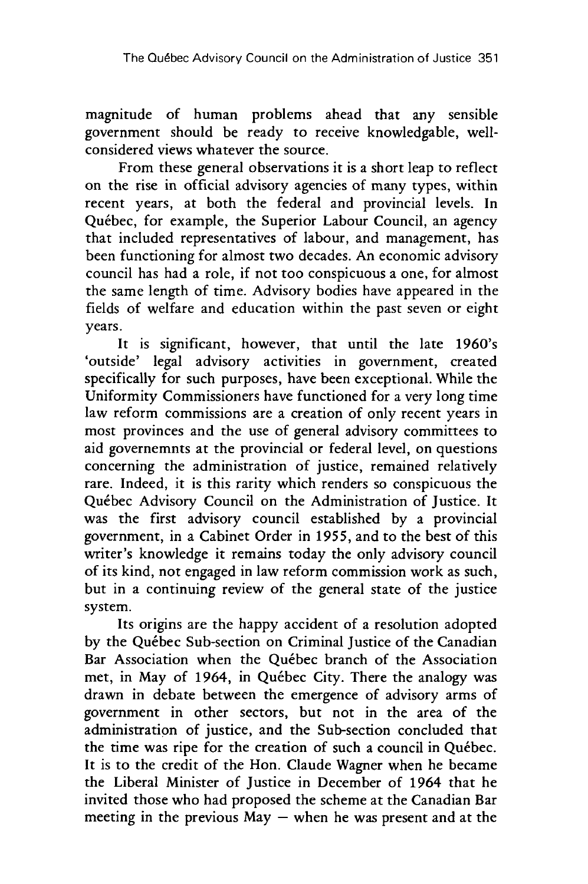magnitude of human problems ahead that any sensible government should be ready to receive knowledgable, wellconsidered views whatever the source.

From these general observations it is a short leap to reflect on the rise in official advisory agencies of many types, within recent years, at both the federal and provincial levels. In Quebec, for example, the Superior Labour Council, an agency that included representatives of labour, and management, has been functioning for almost two decades. An economic advisory council has had a role, if not too conspicuous a one, for almost the same length of time. Advisory bodies have appeared in the fields of welfare and education within the past seven or eight years.

It is significant, however, that until the late 1960's 'outside' legal advisory activities in government, created specifically for such purposes, have been exceptional. While the Uniformity Commissioners have functioned for a very long time law reform commissions are a creation of only recent years in most provinces and the use of general advisory committees to aid governemnts at the provincial or federal level, on questions concerning the administration of justice, remained relatively rare. Indeed, it is this rarity which renders so conspicuous the Quebec Advisory Council on the Administration of Justice. It was the first advisory council established by a provincial government, in a Cabinet Order in 1955, and to the best of this writer's knowledge it remains today the only advisory council of its kind, not engaged in law reform commission work as such, but in a continuing review of the general state of the justice system.

Its origins are the happy accident of a resolution adopted by the Québec Sub-section on Criminal Justice of the Canadian Bar Association when the Québec branch of the Association met, in May of 1964, in Québec City. There the analogy was drawn in debate between the emergence of advisory arms of government in other sectors, but not in the area of the administration of justice, and the Sub-section concluded that the time was ripe for the creation of such a council in Quebec. It is to the credit of the Hon. Claude Wagner when he became the Liberal Minister of Justice in December of 1964 that he invited those who had proposed the scheme at the Canadian Bar meeting in the previous  $May$  – when he was present and at the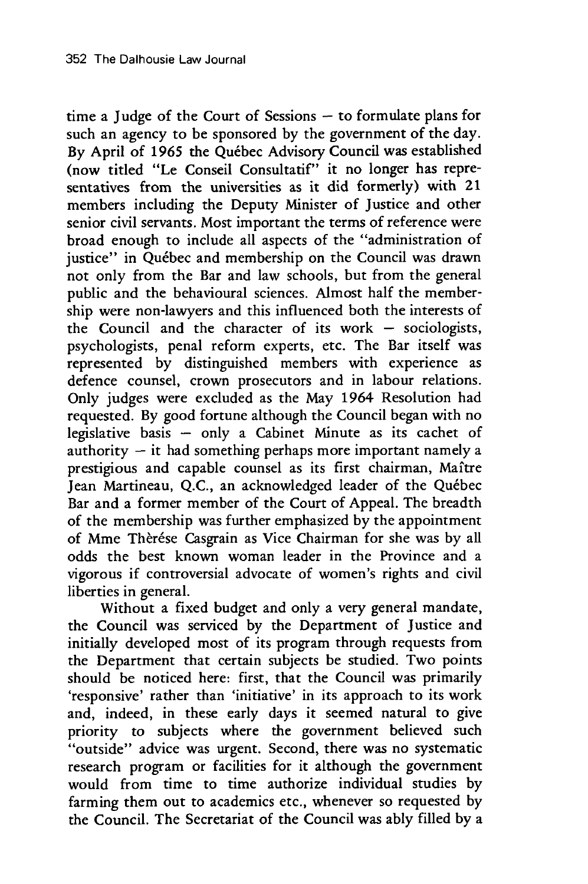time a Judge of the Court of Sessions  $-$  to formulate plans for such an agency to be sponsored by the government of the day. By April of 1965 the Québec Advisory Council was established (now titled "Le Conseil Consultatif" it no longer has representatives from the universities as it did formerly) with 21 members including the Deputy Minister of Justice and other senior civil servants. Most important the terms of reference were broad enough to include all aspects of the "administration of justice" in Québec and membership on the Council was drawn not only from the Bar and law schools, but from the general public and the behavioural sciences. Almost half the membership were non-lawyers and this influenced both the interests of the Council and the character of its work  $-$  sociologists, psychologists, penal reform experts, etc. The Bar itself was represented by distinguished members with experience as defence counsel, crown prosecutors and in labour relations. Only judges were excluded as the May 1964 Resolution had requested. By good fortune although the Council began with no legislative basis - only a Cabinet Minute as its cachet of authority  $-$  it had something perhaps more important namely a prestigious and capable counsel as its first chairman, Maftre Jean Martineau, Q.C., an acknowledged leader of the Quebec Bar and a former member of the Court of Appeal. The breadth of the membership was further emphasized by the appointment of Mme Thèrése Casgrain as Vice Chairman for she was by all odds the best known woman leader in the Province and a vigorous if controversial advocate of women's rights and civil liberties in general.

Without a fixed budget and only a very general mandate, the Council was serviced by the Department of Justice and initially developed most of its program through requests from the Department that certain subjects be studied. Two points should be noticed here: first, that the Council was primarily 'responsive' rather than 'initiative' in its approach to its work and, indeed, in these early days it seemed natural to give priority to subjects where the government believed such "outside" advice was urgent. Second, there was no systematic research program or facilities for it although the government would from time to time authorize individual studies by farming them out to academics etc., whenever so requested by the Council. The Secretariat of the Council was ably filled by a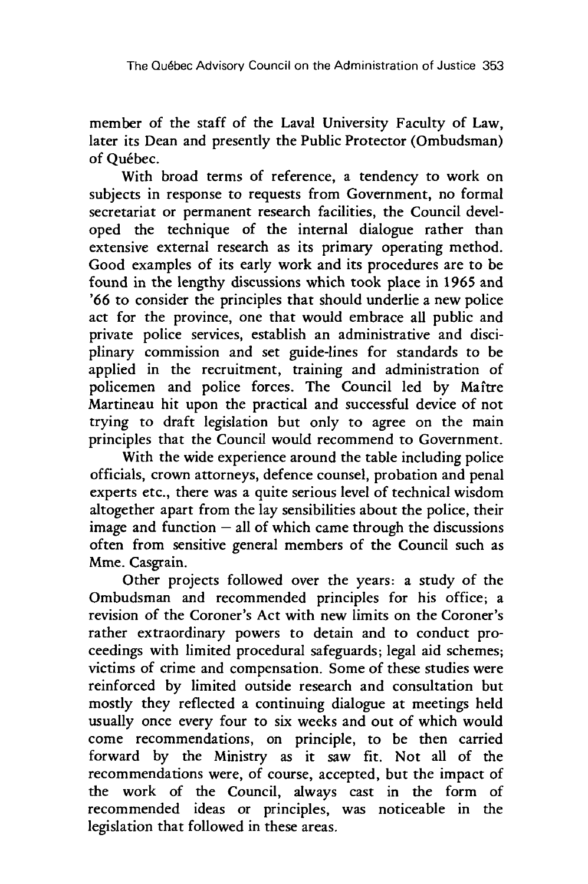member of the staff of the Laval University Faculty of Law, later its Dean and presently the Public Protector (Ombudsman) of Québec.

With broad terms of reference, a tendency to work on subjects in response to requests from Government, no formal secretariat or permanent research facilities, the Council developed the technique of the internal dialogue rather than extensive external research as its primary operating method. Good examples of its early work and its procedures are to be found in the lengthy discussions which took place in 1965 and '66 to consider the principles that should underlie a new police act for the province, one that would embrace all public and private police services, establish an administrative and disciplinary commission and set guide-lines for standards to be applied in the recruitment, training and administration of policemen and police forces. The Council led by Maftre Martineau hit upon the practical and successful device of not trying to draft legislation but only to agree on the main principles that the Council would recommend to Government.

With the wide experience around the table including police officials, crown attorneys, defence counsel, probation and penal experts etc., there was a quite serious level of technical wisdom altogether apart from the lay sensibilities about the police, their image and function  $-$  all of which came through the discussions often from sensitive general members of the Council such as Mme. Casgrain.

Other projects followed over the years: a study of the Ombudsman and recommended principles for his office; a revision of the Coroner's Act with new limits on the Coroner's rather extraordinary powers to detain and to conduct proceedings with limited procedural safeguards; legal aid schemes; victims of crime and compensation. Some of these studies were reinforced by limited outside research and consultation but mostly they reflected a continuing dialogue at meetings held usually once every four to six weeks and out of which would come recommendations, on principle, to be then carried forward by the Ministry as it saw fit. Not all of the recommendations were, of course, accepted, but the impact of the work of the Council, always cast in the form of recommended ideas or principles, was noticeable in the legislation that followed in these areas.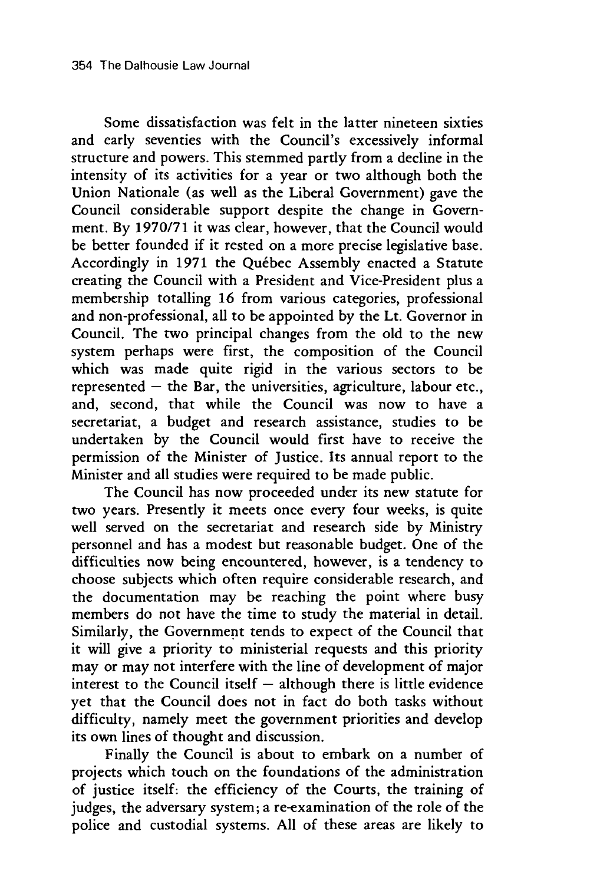Some dissatisfaction was felt in the latter nineteen sixties and early seventies with the Council's excessively informal structure and powers. This stemmed partly from a decline in the intensity of its activities for a year or two although both the Union Nationale (as well as the Liberal Government) gave the Council considerable support despite the change in Government. By 1970/71 it was clear, however, that the Council would be better founded if it rested on a more precise legislative base. Accordingly in 1971 the Québec Assembly enacted a Statute creating the Council with a President and Vice-President plus a membership totalling 16 from various categories, professional and non-professional, all to be appointed by the Lt. Governor in Council. The two principal changes from the old to the new system perhaps were first, the composition of the Council which was made quite rigid in the various sectors to be represented  $-$  the Bar, the universities, agriculture, labour etc., and, second, that while the Council was now to have a secretariat, a budget and research assistance, studies to be undertaken by the Council would first have to receive the permission of the Minister of Justice. Its annual report to the Minister and all studies were required to be made public.

The Council has now proceeded under its new statute for two years. Presently it meets once every four weeks, is quite well served on the secretariat and research side by Ministry personnel and has a modest but reasonable budget. One of the difficulties now being encountered, however, is a tendency to choose subjects which often require considerable research, and the documentation may be reaching the point where busy members do not have the time to study the material in detail. Similarly, the Government tends to expect of the Council that it will give a priority to ministerial requests and this priority may or may not interfere with the line of development of major interest to the Council itself  $-$  although there is little evidence yet that the Council does not in fact do both tasks without difficulty, namely meet the government priorities and develop its own lines of thought and discussion.

Finally the Council is about to embark on a number of projects which touch on the foundations of the administration of justice itself: the efficiency of the Courts, the training of judges, the adversary system; a re-examination of the role of the police and custodial systems. All of these areas are likely to